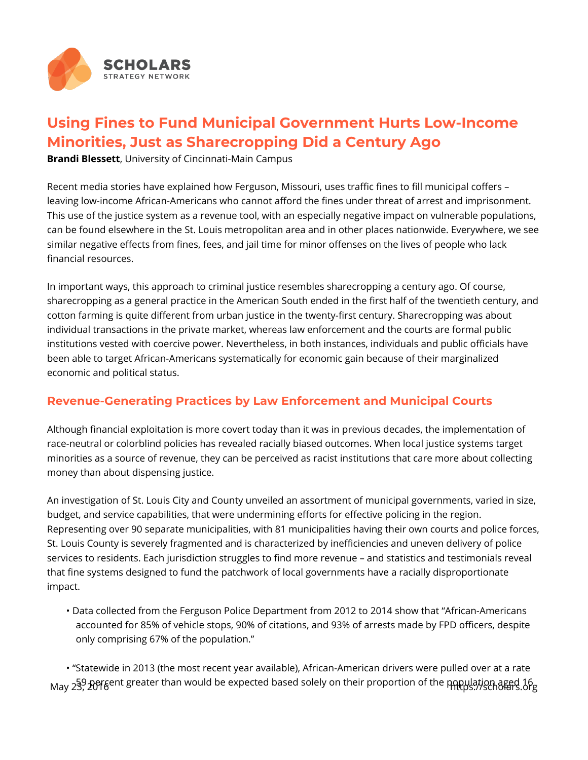

## **Using Fines to Fund Municipal Government Hurts Low-Income Minorities, Just as Sharecropping Did a Century Ago**

**Brandi Blessett**, University of Cincinnati-Main Campus

Recent media stories have explained how Ferguson, Missouri, uses traffic fines to fill municipal coffers – leaving low-income African-Americans who cannot afford the fines under threat of arrest and imprisonment. This use of the justice system as a revenue tool, with an especially negative impact on vulnerable populations, can be found elsewhere in the St. Louis metropolitan area and in other places nationwide. Everywhere, we see similar negative effects from fines, fees, and jail time for minor offenses on the lives of people who lack financial resources.

In important ways, this approach to criminal justice resembles sharecropping a century ago. Of course, sharecropping as a general practice in the American South ended in the first half of the twentieth century, and cotton farming is quite different from urban justice in the twenty-first century. Sharecropping was about individual transactions in the private market, whereas law enforcement and the courts are formal public institutions vested with coercive power. Nevertheless, in both instances, individuals and public officials have been able to target African-Americans systematically for economic gain because of their marginalized economic and political status.

## **Revenue-Generating Practices by Law Enforcement and Municipal Courts**

Although financial exploitation is more covert today than it was in previous decades, the implementation of race-neutral or colorblind policies has revealed racially biased outcomes. When local justice systems target minorities as a source of revenue, they can be perceived as racist institutions that care more about collecting money than about dispensing justice.

An investigation of St. Louis City and County unveiled an assortment of municipal governments, varied in size, budget, and service capabilities, that were undermining efforts for effective policing in the region. Representing over 90 separate municipalities, with 81 municipalities having their own courts and police forces, St. Louis County is severely fragmented and is characterized by inefficiencies and uneven delivery of police services to residents. Each jurisdiction struggles to find more revenue – and statistics and testimonials reveal that fine systems designed to fund the patchwork of local governments have a racially disproportionate impact.

• Data collected from the Ferguson Police Department from 2012 to 2014 show that "African-Americans accounted for 85% of vehicle stops, 90% of citations, and 93% of arrests made by FPD officers, despite only comprising 67% of the population."

• "Statewide in 2013 (the most recent year available), African-American drivers were pulled over at a rate May 239 pergent greater than would be expected based solely on their proportion of the population aged 16